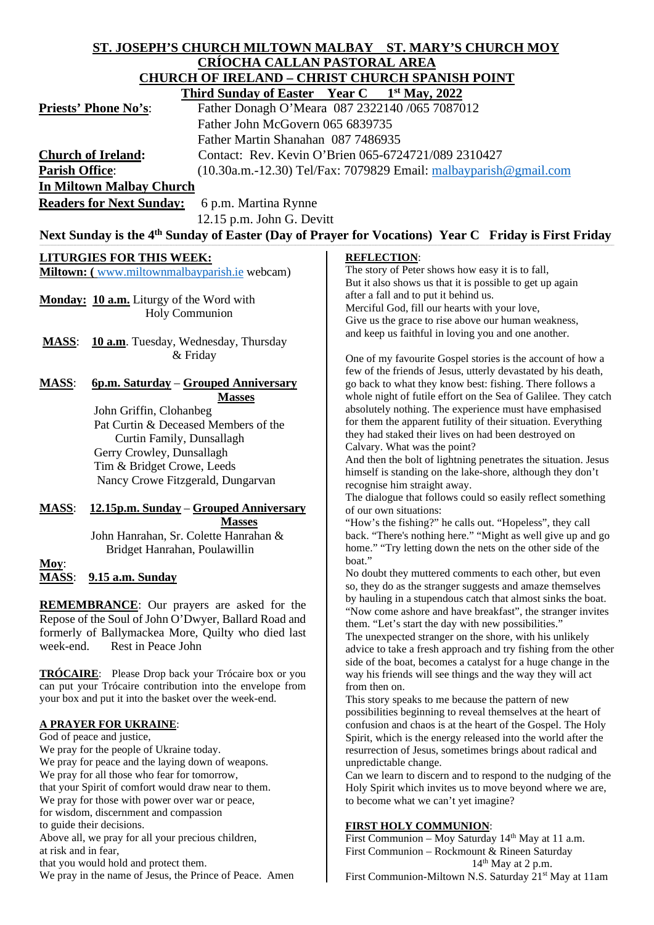#### **ST. JOSEPH'S CHURCH MILTOWN MALBAY ST. MARY'S CHURCH MOY CRÍOCHA CALLAN PASTORAL AREA CHURCH OF IRELAND – CHRIST CHURCH SPANISH POINT**<br>Third Sunday of Easter Vear C – 1<sup>st</sup> May 2022  **Third Sunday of Easter Vear C**

|                              | $\mathbf{I}$ intu bunday of Easier $\mathbf{I}$ call $\mathbf{C}$ $\mathbf{I}$ widy, $\mathbf{2022}$ |
|------------------------------|------------------------------------------------------------------------------------------------------|
| <b>Priests' Phone No's</b> : | Father Donagh O'Meara 087 2322140 /065 7087012                                                       |
|                              | Father John McGovern 065 6839735                                                                     |
|                              | Father Martin Shanahan 087 7486935                                                                   |
| <b>Church of Ireland:</b>    | Contact: Rev. Kevin O'Brien 065-6724721/089 2310427                                                  |
| <b>Parish Office:</b>        | $(10.30a.m.-12.30)$ Tel/Fax: 7079829 Email: malbayparish @gmail.com                                  |
| In Miltown Malbay Church     |                                                                                                      |
|                              |                                                                                                      |

**Readers for Next Sunday:** 6 p.m. Martina Rynne

12.15 p.m. John G. Devitt

# Next Sunday is the 4<sup>th</sup> Sunday of Easter (Day of Prayer for Vocations) Year C Friday is First Friday

### **LITURGIES FOR THIS WEEK:**

**Miltown: (** [www.miltownmalbayparish.ie](http://www.miltownmalbayparish.ie/) webcam)

**Monday: 10 a.m.** Liturgy of the Word with Holy Communion

**MASS**: **10 a.m**. Tuesday, Wednesday, Thursday & Friday

# **MASS**: **6p.m. Saturday** – **Grouped Anniversary**

 **Masses** John Griffin, Clohanbeg Pat Curtin & Deceased Members of the Curtin Family, Dunsallagh Gerry Crowley, Dunsallagh Tim & Bridget Crowe, Leeds Nancy Crowe Fitzgerald, Dungarvan

## **MASS**: **12.15p.m. Sunday** – **Grouped Anniversary Masses**

 John Hanrahan, Sr. Colette Hanrahan & Bridget Hanrahan, Poulawillin

**Moy**: **MASS**: **9.15 a.m. Sunday**

**REMEMBRANCE**: Our prayers are asked for the Repose of the Soul of John O'Dwyer, Ballard Road and formerly of Ballymackea More, Quilty who died last week-end. Rest in Peace John

**TRÓCAIRE**: Please Drop back your Trócaire box or you can put your Trócaire contribution into the envelope from your box and put it into the basket over the week-end.

### **A PRAYER FOR UKRAINE**:

God of peace and justice, We pray for the people of Ukraine today. We pray for peace and the laying down of weapons. We pray for all those who fear for tomorrow, that your Spirit of comfort would draw near to them. We pray for those with power over war or peace, for wisdom, discernment and compassion to guide their decisions. Above all, we pray for all your precious children, at risk and in fear, that you would hold and protect them. We pray in the name of Jesus, the Prince of Peace. Amen

#### **REFLECTION**:

The story of Peter shows how easy it is to fall, But it also shows us that it is possible to get up again after a fall and to put it behind us. Merciful God, fill our hearts with your love, Give us the grace to rise above our human weakness, and keep us faithful in loving you and one another.

One of my favourite Gospel stories is the account of how a few of the friends of Jesus, utterly devastated by his death, go back to what they know best: fishing. There follows a whole night of futile effort on the Sea of Galilee. They catch absolutely nothing. The experience must have emphasised for them the apparent futility of their situation. Everything they had staked their lives on had been destroyed on Calvary. What was the point?

And then the bolt of lightning penetrates the situation. Jesus himself is standing on the lake-shore, although they don't recognise him straight away.

The dialogue that follows could so easily reflect something of our own situations:

"How's the fishing?" he calls out. "Hopeless", they call back. "There's nothing here." "Might as well give up and go home." "Try letting down the nets on the other side of the boat."

No doubt they muttered comments to each other, but even so, they do as the stranger suggests and amaze themselves by hauling in a stupendous catch that almost sinks the boat. "Now come ashore and have breakfast", the stranger invites them. "Let's start the day with new possibilities."

The unexpected stranger on the shore, with his unlikely advice to take a fresh approach and try fishing from the other side of the boat, becomes a catalyst for a huge change in the way his friends will see things and the way they will act from then on.

This story speaks to me because the pattern of new possibilities beginning to reveal themselves at the heart of confusion and chaos is at the heart of the Gospel. The Holy Spirit, which is the energy released into the world after the resurrection of Jesus, sometimes brings about radical and unpredictable change.

Can we learn to discern and to respond to the nudging of the Holy Spirit which invites us to move beyond where we are, to become what we can't yet imagine?

### **FIRST HOLY COMMUNION**:

First Communion – Moy Saturday  $14<sup>th</sup>$  May at 11 a.m. First Communion – Rockmount & Rineen Saturday  $14<sup>th</sup>$  May at 2 p.m. First Communion-Miltown N.S. Saturday 21<sup>st</sup> May at 11am